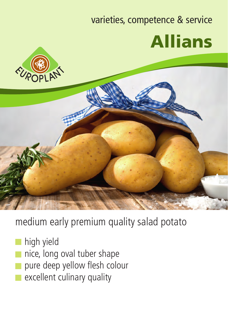## varieties, competence & service Allians





medium early premium quality salad potato

- high yield
- nice, long oval tuber shape
- pure deep yellow flesh colour
- excellent culinary quality